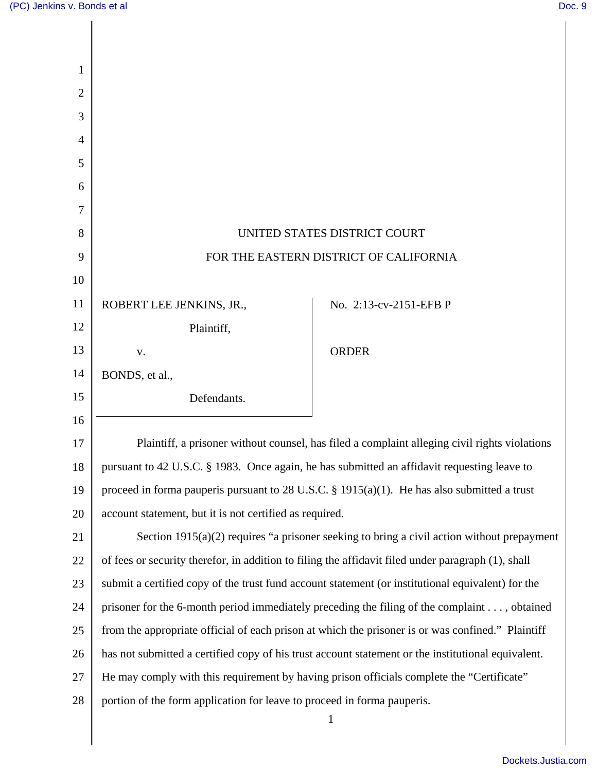| 1<br>$\overline{2}$ |                                                                                                    |                        |
|---------------------|----------------------------------------------------------------------------------------------------|------------------------|
| 3                   |                                                                                                    |                        |
| $\overline{4}$      |                                                                                                    |                        |
| 5                   |                                                                                                    |                        |
| 6                   |                                                                                                    |                        |
| 7                   |                                                                                                    |                        |
| 8                   | UNITED STATES DISTRICT COURT                                                                       |                        |
| 9                   | FOR THE EASTERN DISTRICT OF CALIFORNIA                                                             |                        |
| 10                  |                                                                                                    |                        |
| 11                  | ROBERT LEE JENKINS, JR.,                                                                           | No. 2:13-cv-2151-EFB P |
| 12                  | Plaintiff,                                                                                         |                        |
| 13                  | ${\bf V}$ .                                                                                        | <b>ORDER</b>           |
| 14                  | BONDS, et al.,                                                                                     |                        |
| 15                  | Defendants.                                                                                        |                        |
| 16                  |                                                                                                    |                        |
| 17                  | Plaintiff, a prisoner without counsel, has filed a complaint alleging civil rights violations      |                        |
| 18                  | pursuant to 42 U.S.C. § 1983. Once again, he has submitted an affidavit requesting leave to        |                        |
| 19                  | proceed in forma pauperis pursuant to 28 U.S.C. $\S$ 1915(a)(1). He has also submitted a trust     |                        |
| 20                  | account statement, but it is not certified as required.                                            |                        |
| 21                  | Section $1915(a)(2)$ requires "a prisoner seeking to bring a civil action without prepayment       |                        |
| 22                  | of fees or security therefor, in addition to filing the affidavit filed under paragraph (1), shall |                        |
| 23                  | submit a certified copy of the trust fund account statement (or institutional equivalent) for the  |                        |
| 24                  | prisoner for the 6-month period immediately preceding the filing of the complaint , obtained       |                        |
| 25                  | from the appropriate official of each prison at which the prisoner is or was confined." Plaintiff  |                        |
| 26                  | has not submitted a certified copy of his trust account statement or the institutional equivalent. |                        |
| 27                  | He may comply with this requirement by having prison officials complete the "Certificate"          |                        |
| 28                  | portion of the form application for leave to proceed in forma pauperis.                            |                        |
|                     |                                                                                                    | $\mathbf{1}$           |